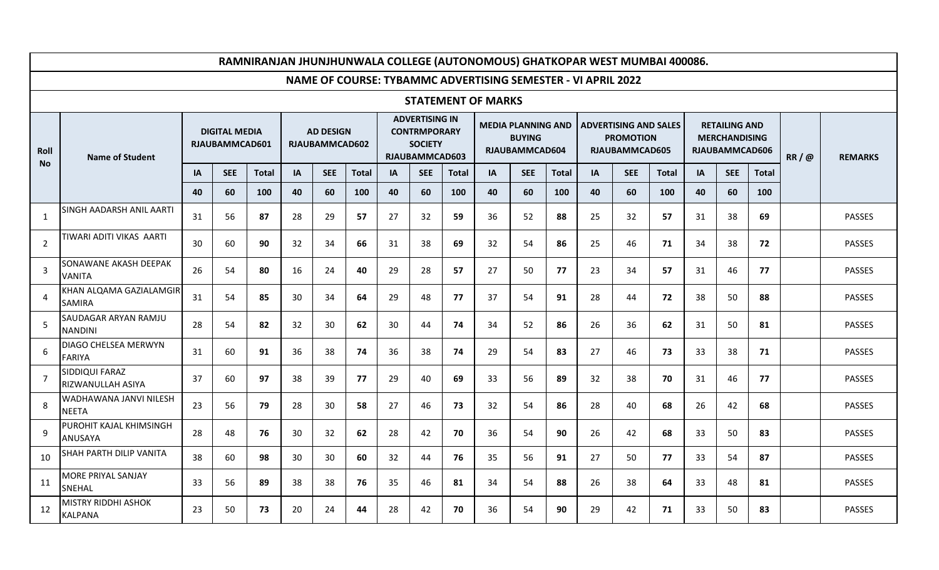|                          | RAMNIRANJAN JHUNJHUNWALA COLLEGE (AUTONOMOUS) GHATKOPAR WEST MUMBAI 400086. |                                        |            |              |                                           |            |              |    |                                                                                         |              |           |                                                              |              |                                                              |                                                                    |              |           |                                                                |              |      |                |
|--------------------------|-----------------------------------------------------------------------------|----------------------------------------|------------|--------------|-------------------------------------------|------------|--------------|----|-----------------------------------------------------------------------------------------|--------------|-----------|--------------------------------------------------------------|--------------|--------------------------------------------------------------|--------------------------------------------------------------------|--------------|-----------|----------------------------------------------------------------|--------------|------|----------------|
|                          |                                                                             |                                        |            |              |                                           |            |              |    |                                                                                         |              |           |                                                              |              | NAME OF COURSE: TYBAMMC ADVERTISING SEMESTER - VI APRIL 2022 |                                                                    |              |           |                                                                |              |      |                |
|                          | <b>STATEMENT OF MARKS</b>                                                   |                                        |            |              |                                           |            |              |    |                                                                                         |              |           |                                                              |              |                                                              |                                                                    |              |           |                                                                |              |      |                |
| <b>Roll</b><br><b>No</b> | <b>Name of Student</b>                                                      | <b>DIGITAL MEDIA</b><br>RJAUBAMMCAD601 |            |              | <b>AD DESIGN</b><br><b>RJAUBAMMCAD602</b> |            |              |    | <b>ADVERTISING IN</b><br><b>CONTRMPORARY</b><br><b>SOCIETY</b><br><b>RJAUBAMMCAD603</b> |              |           | <b>MEDIA PLANNING AND</b><br><b>BUYING</b><br>RJAUBAMMCAD604 |              |                                                              | <b>ADVERTISING AND SALES</b><br><b>PROMOTION</b><br>RJAUBAMMCAD605 |              |           | <b>RETAILING AND</b><br><b>MERCHANDISING</b><br>RJAUBAMMCAD606 |              | RR/@ | <b>REMARKS</b> |
|                          |                                                                             | IA                                     | <b>SEE</b> | <b>Total</b> | <b>IA</b>                                 | <b>SEE</b> | <b>Total</b> | IA | <b>SEE</b>                                                                              | <b>Total</b> | <b>IA</b> | <b>SEE</b>                                                   | <b>Total</b> | IA                                                           | <b>SEE</b>                                                         | <b>Total</b> | <b>IA</b> | <b>SEE</b>                                                     | <b>Total</b> |      |                |
|                          |                                                                             | 40                                     | 60         | 100          | 40                                        | 60         | 100          | 40 | 60                                                                                      | 100          | 40        | 60                                                           | 100          | 40                                                           | 60                                                                 | 100          | 40        | 60                                                             | 100          |      |                |
| $\mathbf{1}$             | SINGH AADARSH ANIL AARTI                                                    | 31                                     | 56         | 87           | 28                                        | 29         | 57           | 27 | 32                                                                                      | 59           | 36        | 52                                                           | 88           | 25                                                           | 32                                                                 | 57           | 31        | 38                                                             | 69           |      | <b>PASSES</b>  |
| $\overline{2}$           | TIWARI ADITI VIKAS AARTI                                                    | 30                                     | 60         | 90           | 32                                        | 34         | 66           | 31 | 38                                                                                      | 69           | 32        | 54                                                           | 86           | 25                                                           | 46                                                                 | 71           | 34        | 38                                                             | 72           |      | <b>PASSES</b>  |
| 3                        | SONAWANE AKASH DEEPAK<br><b>VANITA</b>                                      | 26                                     | 54         | 80           | 16                                        | 24         | 40           | 29 | 28                                                                                      | 57           | 27        | 50                                                           | 77           | 23                                                           | 34                                                                 | 57           | 31        | 46                                                             | 77           |      | <b>PASSES</b>  |
| 4                        | KHAN ALQAMA GAZIALAMGIR<br><b>SAMIRA</b>                                    | 31                                     | 54         | 85           | 30                                        | 34         | 64           | 29 | 48                                                                                      | 77           | 37        | 54                                                           | 91           | 28                                                           | 44                                                                 | 72           | 38        | 50                                                             | 88           |      | <b>PASSES</b>  |
| 5                        | SAUDAGAR ARYAN RAMJU<br><b>NANDINI</b>                                      | 28                                     | 54         | 82           | 32                                        | 30         | 62           | 30 | 44                                                                                      | 74           | 34        | 52                                                           | 86           | 26                                                           | 36                                                                 | 62           | 31        | 50                                                             | 81           |      | <b>PASSES</b>  |
| 6                        | DIAGO CHELSEA MERWYN<br><b>FARIYA</b>                                       | 31                                     | 60         | 91           | 36                                        | 38         | 74           | 36 | 38                                                                                      | 74           | 29        | 54                                                           | 83           | 27                                                           | 46                                                                 | 73           | 33        | 38                                                             | 71           |      | PASSES         |
| $\overline{7}$           | SIDDIQUI FARAZ<br>RIZWANULLAH ASIYA                                         | 37                                     | 60         | 97           | 38                                        | 39         | 77           | 29 | 40                                                                                      | 69           | 33        | 56                                                           | 89           | 32                                                           | 38                                                                 | 70           | 31        | 46                                                             | 77           |      | <b>PASSES</b>  |
| 8                        | WADHAWANA JANVI NILESH<br><b>NEETA</b>                                      | 23                                     | 56         | 79           | 28                                        | 30         | 58           | 27 | 46                                                                                      | 73           | 32        | 54                                                           | 86           | 28                                                           | 40                                                                 | 68           | 26        | 42                                                             | 68           |      | <b>PASSES</b>  |
| 9                        | PUROHIT KAJAL KHIMSINGH<br>ANUSAYA                                          | 28                                     | 48         | 76           | 30                                        | 32         | 62           | 28 | 42                                                                                      | 70           | 36        | 54                                                           | 90           | 26                                                           | 42                                                                 | 68           | 33        | 50                                                             | 83           |      | <b>PASSES</b>  |
| 10                       | SHAH PARTH DILIP VANITA                                                     | 38                                     | 60         | 98           | 30                                        | 30         | 60           | 32 | 44                                                                                      | 76           | 35        | 56                                                           | 91           | 27                                                           | 50                                                                 | 77           | 33        | 54                                                             | 87           |      | <b>PASSES</b>  |
| 11                       | MORE PRIYAL SANJAY<br>SNEHAL                                                | 33                                     | 56         | 89           | 38                                        | 38         | 76           | 35 | 46                                                                                      | 81           | 34        | 54                                                           | 88           | 26                                                           | 38                                                                 | 64           | 33        | 48                                                             | 81           |      | <b>PASSES</b>  |
| 12                       | <b>MISTRY RIDDHI ASHOK</b><br><b>KALPANA</b>                                | 23                                     | 50         | 73           | 20                                        | 24         | 44           | 28 | 42                                                                                      | 70           | 36        | 54                                                           | 90           | 29                                                           | 42                                                                 | 71           | 33        | 50                                                             | 83           |      | <b>PASSES</b>  |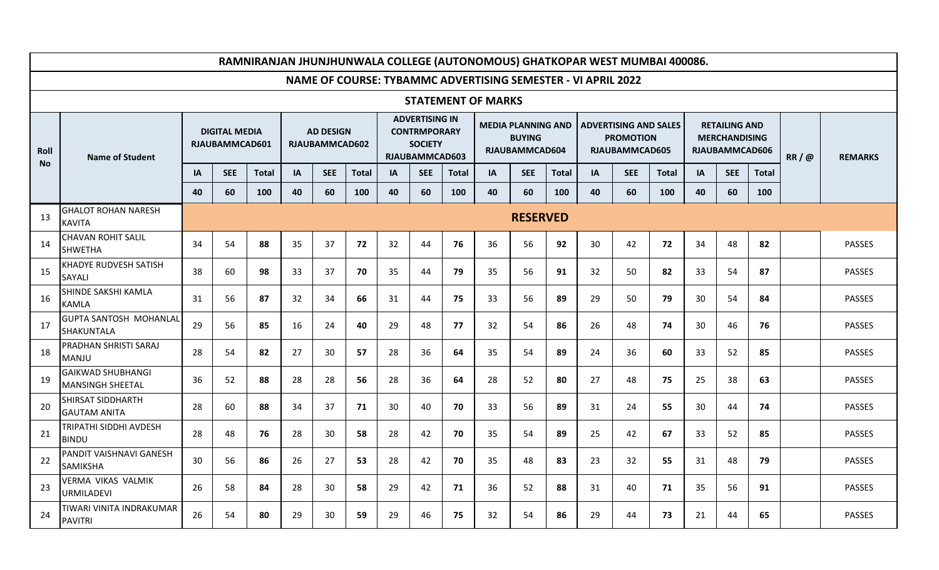|                   | RAMNIRANJAN JHUNJHUNWALA COLLEGE (AUTONOMOUS) GHATKOPAR WEST MUMBAI 400086. |                 |                                        |              |                                    |            |              |           |                                                                                         |              |                                                              |                                                              |              |    |                                                                    |              |    |                                                                |              |  |                |
|-------------------|-----------------------------------------------------------------------------|-----------------|----------------------------------------|--------------|------------------------------------|------------|--------------|-----------|-----------------------------------------------------------------------------------------|--------------|--------------------------------------------------------------|--------------------------------------------------------------|--------------|----|--------------------------------------------------------------------|--------------|----|----------------------------------------------------------------|--------------|--|----------------|
|                   |                                                                             |                 |                                        |              |                                    |            |              |           |                                                                                         |              | NAME OF COURSE: TYBAMMC ADVERTISING SEMESTER - VI APRIL 2022 |                                                              |              |    |                                                                    |              |    |                                                                |              |  |                |
|                   |                                                                             |                 |                                        |              |                                    |            |              |           |                                                                                         |              | <b>STATEMENT OF MARKS</b>                                    |                                                              |              |    |                                                                    |              |    |                                                                |              |  |                |
| Roll<br><b>No</b> | <b>Name of Student</b>                                                      |                 | <b>DIGITAL MEDIA</b><br>RJAUBAMMCAD601 |              | <b>AD DESIGN</b><br>RJAUBAMMCAD602 |            |              |           | <b>ADVERTISING IN</b><br><b>CONTRMPORARY</b><br><b>SOCIETY</b><br><b>RJAUBAMMCAD603</b> |              |                                                              | <b>MEDIA PLANNING AND</b><br><b>BUYING</b><br>RJAUBAMMCAD604 |              |    | <b>ADVERTISING AND SALES</b><br><b>PROMOTION</b><br>RJAUBAMMCAD605 |              |    | <b>RETAILING AND</b><br><b>MERCHANDISING</b><br>RJAUBAMMCAD606 |              |  | <b>REMARKS</b> |
|                   |                                                                             | IA              | <b>SEE</b>                             | <b>Total</b> | IA                                 | <b>SEE</b> | <b>Total</b> | <b>IA</b> | <b>SEE</b>                                                                              | <b>Total</b> | IA                                                           | <b>SEE</b>                                                   | <b>Total</b> | IA | <b>SEE</b>                                                         | <b>Total</b> | IA | <b>SEE</b>                                                     | <b>Total</b> |  |                |
|                   |                                                                             | 40              | 60                                     | 100          | 40                                 | 60         | 100          | 40        | 60                                                                                      | 100          | 40                                                           | 60                                                           | 100          | 40 | 60                                                                 | 100          | 40 | 60                                                             | 100          |  |                |
| 13                | <b>GHALOT ROHAN NARESH</b><br><b>KAVITA</b>                                 | <b>RESERVED</b> |                                        |              |                                    |            |              |           |                                                                                         |              |                                                              |                                                              |              |    |                                                                    |              |    |                                                                |              |  |                |
| 14                | <b>CHAVAN ROHIT SALIL</b><br><b>SHWETHA</b>                                 | 34              | 54                                     | 88           | 35                                 | 37         | 72           | 32        | 44                                                                                      | 76           | 36                                                           | 56                                                           | 92           | 30 | 42                                                                 | 72           | 34 | 48                                                             | 82           |  | <b>PASSES</b>  |
| 15                | <b>KHADYE RUDVESH SATISH</b><br>SAYALI                                      | 38              | 60                                     | 98           | 33                                 | 37         | 70           | 35        | 44                                                                                      | 79           | 35                                                           | 56                                                           | 91           | 32 | 50                                                                 | 82           | 33 | 54                                                             | 87           |  | <b>PASSES</b>  |
| 16                | SHINDE SAKSHI KAMLA<br><b>KAMLA</b>                                         | 31              | 56                                     | 87           | 32                                 | 34         | 66           | 31        | 44                                                                                      | 75           | 33                                                           | 56                                                           | 89           | 29 | 50                                                                 | 79           | 30 | 54                                                             | 84           |  | <b>PASSES</b>  |
| 17                | <b>GUPTA SANTOSH MOHANLAL</b><br><b>SHAKUNTALA</b>                          | 29              | 56                                     | 85           | 16                                 | 24         | 40           | 29        | 48                                                                                      | 77           | 32                                                           | 54                                                           | 86           | 26 | 48                                                                 | 74           | 30 | 46                                                             | 76           |  | <b>PASSES</b>  |
| 18                | PRADHAN SHRISTI SARAJ<br><b>MANJU</b>                                       | 28              | 54                                     | 82           | 27                                 | 30         | 57           | 28        | 36                                                                                      | 64           | 35                                                           | 54                                                           | 89           | 24 | 36                                                                 | 60           | 33 | 52                                                             | 85           |  | <b>PASSES</b>  |
| 19                | <b>GAIKWAD SHUBHANGI</b><br><b>MANSINGH SHEETAL</b>                         | 36              | 52                                     | 88           | 28                                 | 28         | 56           | 28        | 36                                                                                      | 64           | 28                                                           | 52                                                           | 80           | 27 | 48                                                                 | 75           | 25 | 38                                                             | 63           |  | <b>PASSES</b>  |
| 20                | SHIRSAT SIDDHARTH<br><b>GAUTAM ANITA</b>                                    | 28              | 60                                     | 88           | 34                                 | 37         | 71           | 30        | 40                                                                                      | 70           | 33                                                           | 56                                                           | 89           | 31 | 24                                                                 | 55           | 30 | 44                                                             | 74           |  | <b>PASSES</b>  |
| 21                | TRIPATHI SIDDHI AVDESH<br><b>BINDU</b>                                      | 28              | 48                                     | 76           | 28                                 | 30         | 58           | 28        | 42                                                                                      | 70           | 35                                                           | 54                                                           | 89           | 25 | 42                                                                 | 67           | 33 | 52                                                             | 85           |  | <b>PASSES</b>  |
| 22                | PANDIT VAISHNAVI GANESH<br><b>SAMIKSHA</b>                                  | 30              | 56                                     | 86           | 26                                 | 27         | 53           | 28        | 42                                                                                      | 70           | 35                                                           | 48                                                           | 83           | 23 | 32                                                                 | 55           | 31 | 48                                                             | 79           |  | <b>PASSES</b>  |
| 23                | VERMA VIKAS VALMIK<br><b>URMILADEVI</b>                                     | 26              | 58                                     | 84           | 28                                 | 30         | 58           | 29        | 42                                                                                      | 71           | 36                                                           | 52                                                           | 88           | 31 | 40                                                                 | 71           | 35 | 56                                                             | 91           |  | <b>PASSES</b>  |
| 24                | TIWARI VINITA INDRAKUMAR<br><b>PAVITRI</b>                                  | 26              | 54                                     | 80           | 29                                 | 30         | 59           | 29        | 46                                                                                      | 75           | 32                                                           | 54                                                           | 86           | 29 | 44                                                                 | 73           | 21 | 44                                                             | 65           |  | <b>PASSES</b>  |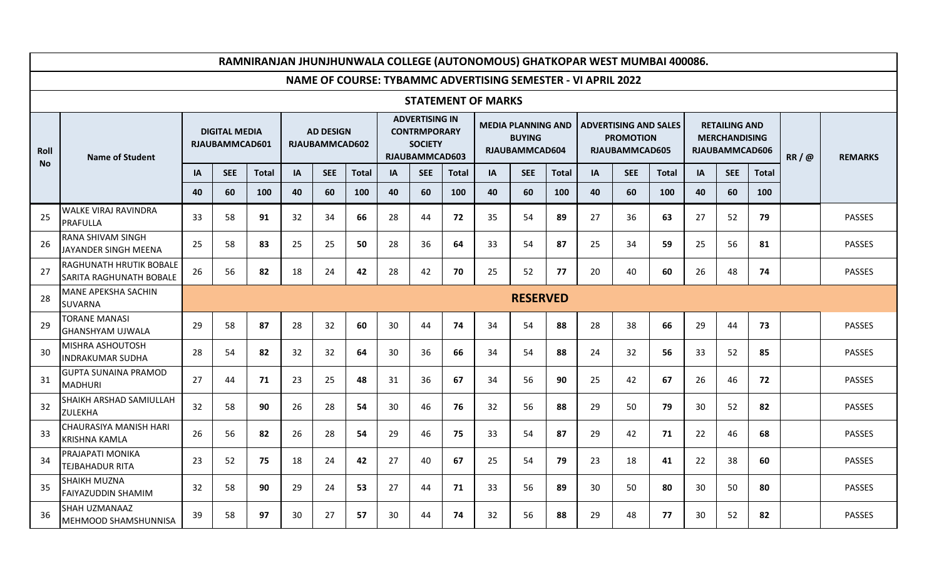|                   | RAMNIRANJAN JHUNJHUNWALA COLLEGE (AUTONOMOUS) GHATKOPAR WEST MUMBAI 400086. |                                        |                 |              |                                    |            |              |    |                                                                                         |              |                           |                                                              |              |                                                              |                                                                    |              |    |                                                                |              |  |                |
|-------------------|-----------------------------------------------------------------------------|----------------------------------------|-----------------|--------------|------------------------------------|------------|--------------|----|-----------------------------------------------------------------------------------------|--------------|---------------------------|--------------------------------------------------------------|--------------|--------------------------------------------------------------|--------------------------------------------------------------------|--------------|----|----------------------------------------------------------------|--------------|--|----------------|
|                   |                                                                             |                                        |                 |              |                                    |            |              |    |                                                                                         |              |                           |                                                              |              | NAME OF COURSE: TYBAMMC ADVERTISING SEMESTER - VI APRIL 2022 |                                                                    |              |    |                                                                |              |  |                |
|                   |                                                                             |                                        |                 |              |                                    |            |              |    |                                                                                         |              | <b>STATEMENT OF MARKS</b> |                                                              |              |                                                              |                                                                    |              |    |                                                                |              |  |                |
| Roll<br><b>No</b> | <b>Name of Student</b>                                                      | <b>DIGITAL MEDIA</b><br>RJAUBAMMCAD601 |                 |              | <b>AD DESIGN</b><br>RJAUBAMMCAD602 |            |              |    | <b>ADVERTISING IN</b><br><b>CONTRMPORARY</b><br><b>SOCIETY</b><br><b>RJAUBAMMCAD603</b> |              |                           | <b>MEDIA PLANNING AND</b><br><b>BUYING</b><br>RJAUBAMMCAD604 |              |                                                              | <b>ADVERTISING AND SALES</b><br><b>PROMOTION</b><br>RJAUBAMMCAD605 |              |    | <b>RETAILING AND</b><br><b>MERCHANDISING</b><br>RJAUBAMMCAD606 |              |  | <b>REMARKS</b> |
|                   |                                                                             | IA                                     | <b>SEE</b>      | <b>Total</b> | IA                                 | <b>SEE</b> | <b>Total</b> | IA | <b>SEE</b>                                                                              | <b>Total</b> | <b>IA</b>                 | <b>SEE</b>                                                   | <b>Total</b> | <b>IA</b>                                                    | <b>SEE</b>                                                         | <b>Total</b> | IA | <b>SEE</b>                                                     | <b>Total</b> |  |                |
|                   |                                                                             | 40                                     | 60              | 100          | 40                                 | 60         | 100          | 40 | 60                                                                                      | 100          | 40                        | 60                                                           | 100          | 40                                                           | 60                                                                 | 100          | 40 | 60                                                             | 100          |  |                |
| 25                | <b>WALKE VIRAJ RAVINDRA</b><br><b>PRAFULLA</b>                              | 33                                     | 58              | 91           | 32                                 | 34         | 66           | 28 | 44                                                                                      | 72           | 35                        | 54                                                           | 89           | 27                                                           | 36                                                                 | 63           | 27 | 52                                                             | 79           |  | <b>PASSES</b>  |
| 26                | RANA SHIVAM SINGH<br>JAYANDER SINGH MEENA                                   | 25                                     | 58              | 83           | 25                                 | 25         | 50           | 28 | 36                                                                                      | 64           | 33                        | 54                                                           | 87           | 25                                                           | 34                                                                 | 59           | 25 | 56                                                             | 81           |  | <b>PASSES</b>  |
| 27                | RAGHUNATH HRUTIK BOBALE<br><b>SARITA RAGHUNATH BOBALE</b>                   | 26                                     | 56              | 82           | 18                                 | 24         | 42           | 28 | 42                                                                                      | 70           | 25                        | 52                                                           | 77           | 20                                                           | 40                                                                 | 60           | 26 | 48                                                             | 74           |  | <b>PASSES</b>  |
| 28                | <b>MANE APEKSHA SACHIN</b><br><b>SUVARNA</b>                                |                                        | <b>RESERVED</b> |              |                                    |            |              |    |                                                                                         |              |                           |                                                              |              |                                                              |                                                                    |              |    |                                                                |              |  |                |
| 29                | <b>TORANE MANASI</b><br><b>GHANSHYAM UJWALA</b>                             | 29                                     | 58              | 87           | 28                                 | 32         | 60           | 30 | 44                                                                                      | 74           | 34                        | 54                                                           | 88           | 28                                                           | 38                                                                 | 66           | 29 | 44                                                             | 73           |  | <b>PASSES</b>  |
| 30                | MISHRA ASHOUTOSH<br><b>INDRAKUMAR SUDHA</b>                                 | 28                                     | 54              | 82           | 32                                 | 32         | 64           | 30 | 36                                                                                      | 66           | 34                        | 54                                                           | 88           | 24                                                           | 32                                                                 | 56           | 33 | 52                                                             | 85           |  | PASSES         |
| 31                | <b>GUPTA SUNAINA PRAMOD</b><br><b>MADHURI</b>                               | 27                                     | 44              | 71           | 23                                 | 25         | 48           | 31 | 36                                                                                      | 67           | 34                        | 56                                                           | 90           | 25                                                           | 42                                                                 | 67           | 26 | 46                                                             | 72           |  | <b>PASSES</b>  |
| 32                | SHAIKH ARSHAD SAMIULLAH<br><b>ZULEKHA</b>                                   | 32                                     | 58              | 90           | 26                                 | 28         | 54           | 30 | 46                                                                                      | 76           | 32                        | 56                                                           | 88           | 29                                                           | 50                                                                 | 79           | 30 | 52                                                             | 82           |  | <b>PASSES</b>  |
| 33                | CHAURASIYA MANISH HARI<br><b>KRISHNA KAMLA</b>                              | 26                                     | 56              | 82           | 26                                 | 28         | 54           | 29 | 46                                                                                      | 75           | 33                        | 54                                                           | 87           | 29                                                           | 42                                                                 | 71           | 22 | 46                                                             | 68           |  | <b>PASSES</b>  |
| 34                | PRAJAPATI MONIKA<br><b>TEJBAHADUR RITA</b>                                  | 23                                     | 52              | 75           | 18                                 | 24         | 42           | 27 | 40                                                                                      | 67           | 25                        | 54                                                           | 79           | 23                                                           | 18                                                                 | 41           | 22 | 38                                                             | 60           |  | <b>PASSES</b>  |
| 35                | <b>SHAIKH MUZNA</b><br>FAIYAZUDDIN SHAMIM                                   | 32                                     | 58              | 90           | 29                                 | 24         | 53           | 27 | 44                                                                                      | 71           | 33                        | 56                                                           | 89           | 30                                                           | 50                                                                 | 80           | 30 | 50                                                             | 80           |  | <b>PASSES</b>  |
| 36                | SHAH UZMANAAZ<br>MEHMOOD SHAMSHUNNISA                                       | 39                                     | 58              | 97           | 30                                 | 27         | 57           | 30 | 44                                                                                      | 74           | 32                        | 56                                                           | 88           | 29                                                           | 48                                                                 | 77           | 30 | 52                                                             | 82           |  | <b>PASSES</b>  |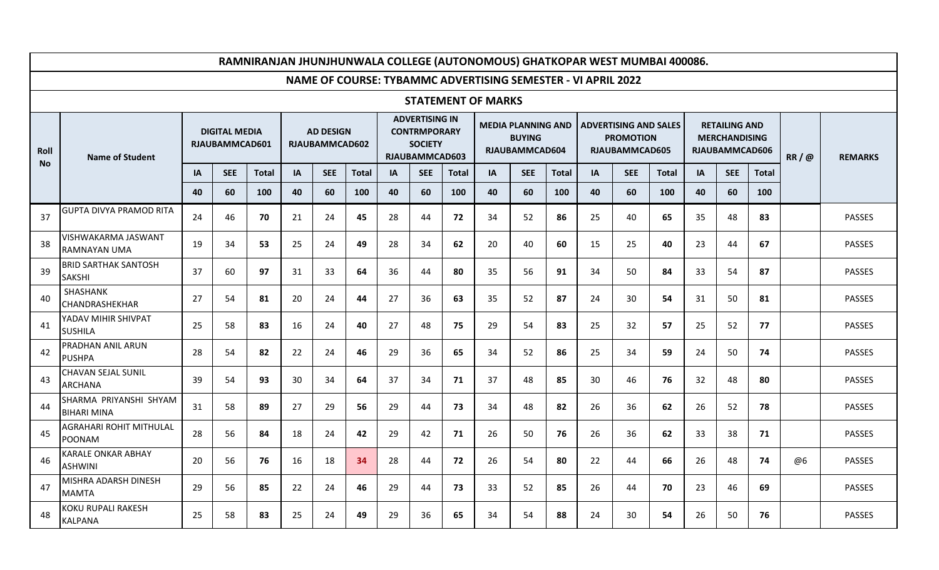|                   | RAMNIRANJAN JHUNJHUNWALA COLLEGE (AUTONOMOUS) GHATKOPAR WEST MUMBAI 400086. |                                        |            |              |                                           |            |              |    |                                                                                         |              |                           |                                                              |              |                                                                    |            |              |    |                                                                |              |      |                |
|-------------------|-----------------------------------------------------------------------------|----------------------------------------|------------|--------------|-------------------------------------------|------------|--------------|----|-----------------------------------------------------------------------------------------|--------------|---------------------------|--------------------------------------------------------------|--------------|--------------------------------------------------------------------|------------|--------------|----|----------------------------------------------------------------|--------------|------|----------------|
|                   |                                                                             |                                        |            |              |                                           |            |              |    |                                                                                         |              |                           |                                                              |              | NAME OF COURSE: TYBAMMC ADVERTISING SEMESTER - VI APRIL 2022       |            |              |    |                                                                |              |      |                |
|                   |                                                                             |                                        |            |              |                                           |            |              |    |                                                                                         |              | <b>STATEMENT OF MARKS</b> |                                                              |              |                                                                    |            |              |    |                                                                |              |      |                |
| Roll<br><b>No</b> | <b>Name of Student</b>                                                      | <b>DIGITAL MEDIA</b><br>RJAUBAMMCAD601 |            |              | <b>AD DESIGN</b><br><b>RJAUBAMMCAD602</b> |            |              |    | <b>ADVERTISING IN</b><br><b>CONTRMPORARY</b><br><b>SOCIETY</b><br><b>RJAUBAMMCAD603</b> |              |                           | <b>MEDIA PLANNING AND</b><br><b>BUYING</b><br>RJAUBAMMCAD604 |              | <b>ADVERTISING AND SALES</b><br><b>PROMOTION</b><br>RJAUBAMMCAD605 |            |              |    | <b>RETAILING AND</b><br><b>MERCHANDISING</b><br>RJAUBAMMCAD606 |              | RR/@ | <b>REMARKS</b> |
|                   |                                                                             | IA                                     | <b>SEE</b> | <b>Total</b> | IA                                        | <b>SEE</b> | <b>Total</b> | IA | <b>SEE</b>                                                                              | <b>Total</b> | IA                        | <b>SEE</b>                                                   | <b>Total</b> | IA                                                                 | <b>SEE</b> | <b>Total</b> | IA | <b>SEE</b>                                                     | <b>Total</b> |      |                |
|                   |                                                                             | 40                                     | 60         | 100          | 40                                        | 60         | 100          | 40 | 60                                                                                      | 100          | 40                        | 60                                                           | 100          | 40                                                                 | 60         | 100          | 40 | 60                                                             | 100          |      |                |
| 37                | <b>GUPTA DIVYA PRAMOD RITA</b>                                              | 24                                     | 46         | 70           | 21                                        | 24         | 45           | 28 | 44                                                                                      | 72           | 34                        | 52                                                           | 86           | 25                                                                 | 40         | 65           | 35 | 48                                                             | 83           |      | <b>PASSES</b>  |
| 38                | VISHWAKARMA JASWANT<br><b>RAMNAYAN UMA</b>                                  | 19                                     | 34         | 53           | 25                                        | 24         | 49           | 28 | 34                                                                                      | 62           | 20                        | 40                                                           | 60           | 15                                                                 | 25         | 40           | 23 | 44                                                             | 67           |      | <b>PASSES</b>  |
| 39                | <b>BRID SARTHAK SANTOSH</b><br><b>SAKSHI</b>                                | 37                                     | 60         | 97           | 31                                        | 33         | 64           | 36 | 44                                                                                      | 80           | 35                        | 56                                                           | 91           | 34                                                                 | 50         | 84           | 33 | 54                                                             | 87           |      | <b>PASSES</b>  |
| 40                | SHASHANK<br>CHANDRASHEKHAR                                                  | 27                                     | 54         | 81           | 20                                        | 24         | 44           | 27 | 36                                                                                      | 63           | 35                        | 52                                                           | 87           | 24                                                                 | 30         | 54           | 31 | 50                                                             | 81           |      | <b>PASSES</b>  |
| 41                | YADAV MIHIR SHIVPAT<br><b>SUSHILA</b>                                       | 25                                     | 58         | 83           | 16                                        | 24         | 40           | 27 | 48                                                                                      | 75           | 29                        | 54                                                           | 83           | 25                                                                 | 32         | 57           | 25 | 52                                                             | 77           |      | <b>PASSES</b>  |
| 42                | PRADHAN ANIL ARUN<br><b>PUSHPA</b>                                          | 28                                     | 54         | 82           | 22                                        | 24         | 46           | 29 | 36                                                                                      | 65           | 34                        | 52                                                           | 86           | 25                                                                 | 34         | 59           | 24 | 50                                                             | 74           |      | <b>PASSES</b>  |
| 43                | <b>CHAVAN SEJAL SUNIL</b><br><b>ARCHANA</b>                                 | 39                                     | 54         | 93           | 30                                        | 34         | 64           | 37 | 34                                                                                      | 71           | 37                        | 48                                                           | 85           | 30                                                                 | 46         | 76           | 32 | 48                                                             | 80           |      | <b>PASSES</b>  |
| 44                | SHARMA PRIYANSHI SHYAM<br><b>BIHARI MINA</b>                                | 31                                     | 58         | 89           | 27                                        | 29         | 56           | 29 | 44                                                                                      | 73           | 34                        | 48                                                           | 82           | 26                                                                 | 36         | 62           | 26 | 52                                                             | 78           |      | PASSES         |
| 45                | AGRAHARI ROHIT MITHULAL<br><b>POONAM</b>                                    | 28                                     | 56         | 84           | 18                                        | 24         | 42           | 29 | 42                                                                                      | 71           | 26                        | 50                                                           | 76           | 26                                                                 | 36         | 62           | 33 | 38                                                             | 71           |      | <b>PASSES</b>  |
| 46                | <b>KARALE ONKAR ABHAY</b><br><b>ASHWINI</b>                                 | 20                                     | 56         | 76           | 16                                        | 18         | 34           | 28 | 44                                                                                      | 72           | 26                        | 54                                                           | 80           | 22                                                                 | 44         | 66           | 26 | 48                                                             | 74           | @6   | <b>PASSES</b>  |
| 47                | MISHRA ADARSH DINESH<br><b>MAMTA</b>                                        | 29                                     | 56         | 85           | 22                                        | 24         | 46           | 29 | 44                                                                                      | 73           | 33                        | 52                                                           | 85           | 26                                                                 | 44         | 70           | 23 | 46                                                             | 69           |      | <b>PASSES</b>  |
| 48                | KOKU RUPALI RAKESH<br><b>KALPANA</b>                                        | 25                                     | 58         | 83           | 25                                        | 24         | 49           | 29 | 36                                                                                      | 65           | 34                        | 54                                                           | 88           | 24                                                                 | 30         | 54           | 26 | 50                                                             | 76           |      | <b>PASSES</b>  |